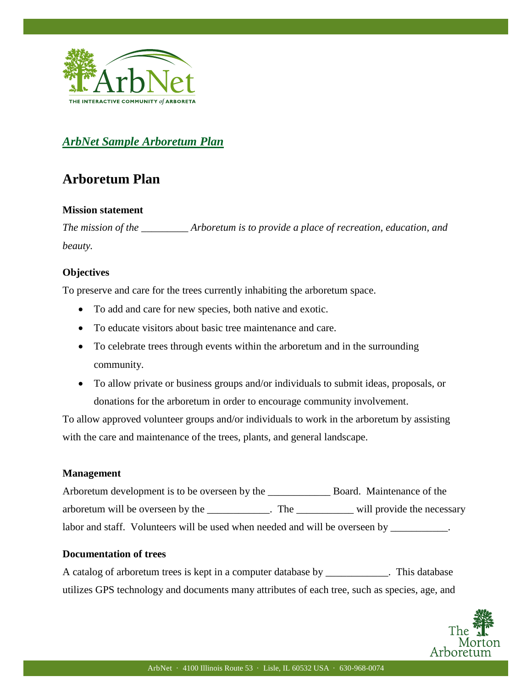

## *ArbNet Sample Arboretum Plan*

# **Arboretum Plan**

#### **Mission statement**

*The mission of the \_\_\_\_\_\_\_\_\_ Arboretum is to provide a place of recreation, education, and beauty.*

#### **Objectives**

I

To preserve and care for the trees currently inhabiting the arboretum space.

- To add and care for new species, both native and exotic.
- To educate visitors about basic tree maintenance and care.
- To celebrate trees through events within the arboretum and in the surrounding community.
- To allow private or business groups and/or individuals to submit ideas, proposals, or donations for the arboretum in order to encourage community involvement.

To allow approved volunteer groups and/or individuals to work in the arboretum by assisting with the care and maintenance of the trees, plants, and general landscape.

#### **Management**

Arboretum development is to be overseen by the \_\_\_\_\_\_\_\_\_\_\_\_ Board. Maintenance of the arboretum will be overseen by the \_\_\_\_\_\_\_\_\_\_\_\_. The \_\_\_\_\_\_\_\_\_\_\_ will provide the necessary labor and staff. Volunteers will be used when needed and will be overseen by \_\_\_\_\_\_\_\_\_\_\_\_\_\_\_\_\_\_\_\_\_\_\_\_\_\_\_\_\_\_\_\_\_

#### **Documentation of trees**

A catalog of arboretum trees is kept in a computer database by \_\_\_\_\_\_\_\_\_\_\_\_. This database utilizes GPS technology and documents many attributes of each tree, such as species, age, and